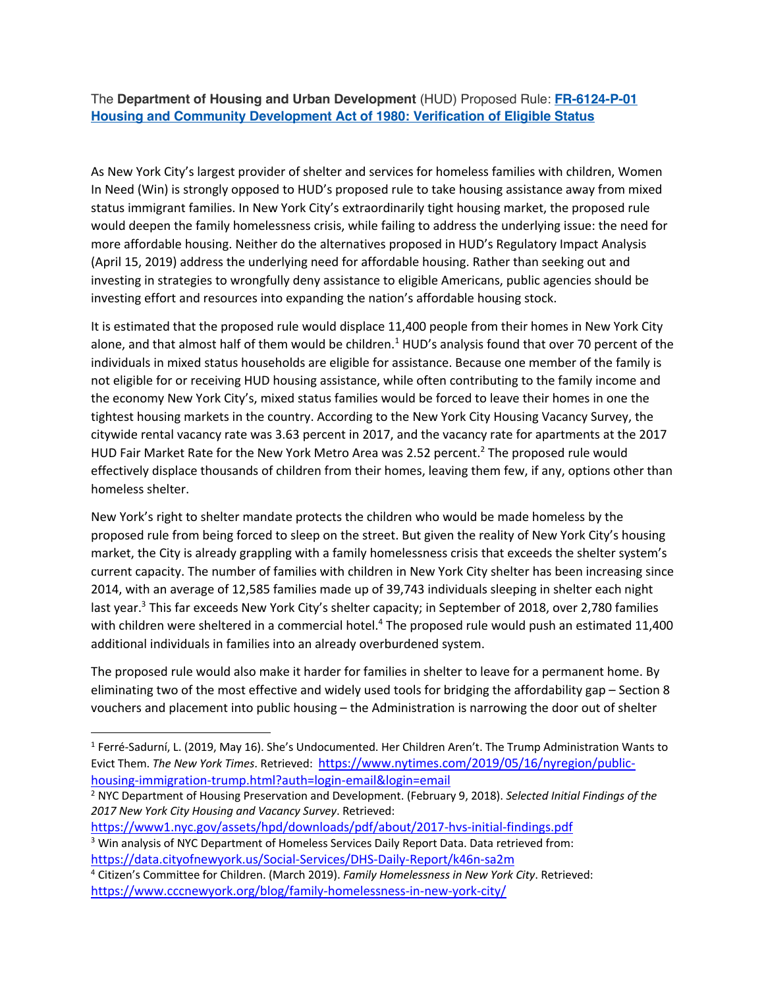## The **Department of Housing and Urban Development** (HUD) Proposed Rule: **FR-6124-P-01 Housing and Community Development Act of 1980: Verification of Eligible Status**

As New York City's largest provider of shelter and services for homeless families with children, Women In Need (Win) is strongly opposed to HUD's proposed rule to take housing assistance away from mixed status immigrant families. In New York City's extraordinarily tight housing market, the proposed rule would deepen the family homelessness crisis, while failing to address the underlying issue: the need for more affordable housing. Neither do the alternatives proposed in HUD's Regulatory Impact Analysis (April 15, 2019) address the underlying need for affordable housing. Rather than seeking out and investing in strategies to wrongfully deny assistance to eligible Americans, public agencies should be investing effort and resources into expanding the nation's affordable housing stock.

It is estimated that the proposed rule would displace 11,400 people from their homes in New York City alone, and that almost half of them would be children.<sup>1</sup> HUD's analysis found that over 70 percent of the individuals in mixed status households are eligible for assistance. Because one member of the family is not eligible for or receiving HUD housing assistance, while often contributing to the family income and the economy New York City's, mixed status families would be forced to leave their homes in one the tightest housing markets in the country. According to the New York City Housing Vacancy Survey, the citywide rental vacancy rate was 3.63 percent in 2017, and the vacancy rate for apartments at the 2017 HUD Fair Market Rate for the New York Metro Area was 2.52 percent.<sup>2</sup> The proposed rule would effectively displace thousands of children from their homes, leaving them few, if any, options other than homeless shelter.

New York's right to shelter mandate protects the children who would be made homeless by the proposed rule from being forced to sleep on the street. But given the reality of New York City's housing market, the City is already grappling with a family homelessness crisis that exceeds the shelter system's current capacity. The number of families with children in New York City shelter has been increasing since 2014, with an average of 12,585 families made up of 39,743 individuals sleeping in shelter each night last year.<sup>3</sup> This far exceeds New York City's shelter capacity; in September of 2018, over 2,780 families with children were sheltered in a commercial hotel.<sup>4</sup> The proposed rule would push an estimated 11,400 additional individuals in families into an already overburdened system.

The proposed rule would also make it harder for families in shelter to leave for a permanent home. By eliminating two of the most effective and widely used tools for bridging the affordability gap – Section 8 vouchers and placement into public housing – the Administration is narrowing the door out of shelter

<sup>2</sup> NYC Department of Housing Preservation and Development. (February 9, 2018). *Selected Initial Findings of the 2017 New York City Housing and Vacancy Survey*. Retrieved:

https://www1.nyc.gov/assets/hpd/downloads/pdf/about/2017-hvs-initial-findings.pdf

 <sup>1</sup> Ferré-Sadurní, L. (2019, May 16). She's Undocumented. Her Children Aren't. The Trump Administration Wants to Evict Them. *The New York Times*. Retrieved: https://www.nytimes.com/2019/05/16/nyregion/publichousing-immigration-trump.html?auth=login-email&login=email

<sup>&</sup>lt;sup>3</sup> Win analysis of NYC Department of Homeless Services Daily Report Data. Data retrieved from: https://data.cityofnewyork.us/Social-Services/DHS-Daily-Report/k46n-sa2m

<sup>4</sup> Citizen's Committee for Children. (March 2019). *Family Homelessness in New York City*. Retrieved: https://www.cccnewyork.org/blog/family-homelessness-in-new-york-city/